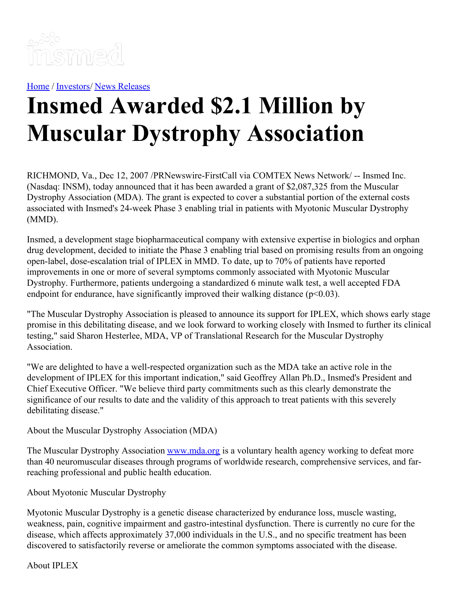

[Home](https://insmed.com/) / [Investors](https://investor.insmed.com/index)/ News [Releases](https://investor.insmed.com/releases)

## **Insmed Awarded \$2.1 Million by Muscular Dystrophy Association**

RICHMOND, Va., Dec 12, 2007 /PRNewswire-FirstCall via COMTEX News Network/ -- Insmed Inc. (Nasdaq: INSM), today announced that it has been awarded a grant of \$2,087,325 from the Muscular Dystrophy Association (MDA). The grant is expected to cover a substantial portion of the external costs associated with Insmed's 24-week Phase 3 enabling trial in patients with Myotonic Muscular Dystrophy (MMD).

Insmed, a development stage biopharmaceutical company with extensive expertise in biologics and orphan drug development, decided to initiate the Phase 3 enabling trial based on promising results from an ongoing open-label, dose-escalation trial of IPLEX in MMD. To date, up to 70% of patients have reported improvements in one or more of several symptoms commonly associated with Myotonic Muscular Dystrophy. Furthermore, patients undergoing a standardized 6 minute walk test, a well accepted FDA endpoint for endurance, have significantly improved their walking distance  $(p<0.03)$ .

"The Muscular Dystrophy Association is pleased to announce its support for IPLEX, which shows early stage promise in this debilitating disease, and we look forward to working closely with Insmed to further its clinical testing," said Sharon Hesterlee, MDA, VP of Translational Research for the Muscular Dystrophy Association.

"We are delighted to have a well-respected organization such as the MDA take an active role in the development of IPLEX for this important indication," said Geoffrey Allan Ph.D., Insmed's President and Chief Executive Officer. "We believe third party commitments such as this clearly demonstrate the significance of our results to date and the validity of this approach to treat patients with this severely debilitating disease."

About the Muscular Dystrophy Association (MDA)

The Muscular Dystrophy Association [www.mda.org](http://www.mda.org/) is a voluntary health agency working to defeat more than 40 neuromuscular diseases through programs of worldwide research, comprehensive services, and farreaching professional and public health education.

About Myotonic Muscular Dystrophy

Myotonic Muscular Dystrophy is a genetic disease characterized by endurance loss, muscle wasting, weakness, pain, cognitive impairment and gastro-intestinal dysfunction. There is currently no cure for the disease, which affects approximately 37,000 individuals in the U.S., and no specific treatment has been discovered to satisfactorily reverse or ameliorate the common symptoms associated with the disease.

About IPLEX